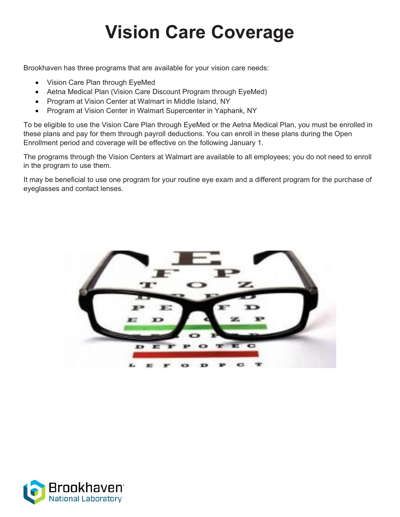# **Vision Care Coverage**

Brookhaven has three programs that are available for your vision care needs:

- Vision Care Plan through EyeMed
- Aetna Medical Plan (Vision Care Discount Program through EyeMed)
- Program at Vision Center at Walmart in Middle Island, NY
- Program at Vision Center in Walmart Supercenter in Yaphank, NY

To be eligible to use the Vision Care Plan through EyeMed or the Aetna Medical Plan, you must be enrolled in these plans and pay for them through payroll deductions. You can enroll in these plans during the Open Enrollment period and coverage will be effective on the following January 1.

The programs through the Vision Centers at Walmart are available to all employees; you do not need to enroll in the program to use them.

It may be beneficial to use one program for your routine eye exam and a different program for the purchase of eyeglasses and contact lenses.



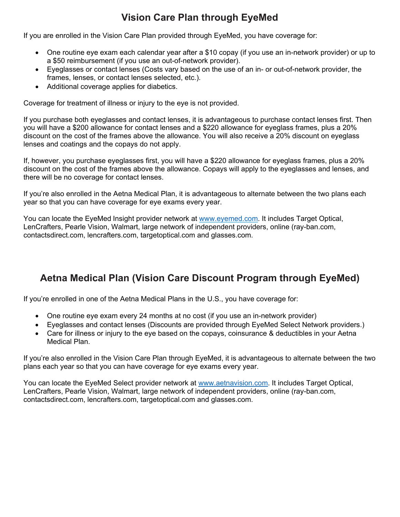## **Vision Care Plan through EyeMed**

If you are enrolled in the Vision Care Plan provided through EyeMed, you have coverage for:

- One routine eye exam each calendar year after a \$10 copay (if you use an in-network provider) or up to a \$50 reimbursement (if you use an out-of-network provider).
- Eyeglasses or contact lenses (Costs vary based on the use of an in- or out-of-network provider, the frames, lenses, or contact lenses selected, etc.).
- Additional coverage applies for diabetics.

Coverage for treatment of illness or injury to the eye is not provided.

If you purchase both eyeglasses and contact lenses, it is advantageous to purchase contact lenses first. Then you will have a \$200 allowance for contact lenses and a \$220 allowance for eyeglass frames, plus a 20% discount on the cost of the frames above the allowance. You will also receive a 20% discount on eyeglass lenses and coatings and the copays do not apply.

If, however, you purchase eyeglasses first, you will have a \$220 allowance for eyeglass frames, plus a 20% discount on the cost of the frames above the allowance. Copays will apply to the eyeglasses and lenses, and there will be no coverage for contact lenses.

If you're also enrolled in the Aetna Medical Plan, it is advantageous to alternate between the two plans each year so that you can have coverage for eye exams every year.

You can locate the EyeMed Insight provider network at [www.eyemed.com.](http://www.__________.com/) It includes Target Optical, LenCrafters, Pearle Vision, Walmart, large network of independent providers, online (ray-ban.com, contactsdirect.com, lencrafters.com, targetoptical.com and glasses.com.

## **Aetna Medical Plan (Vision Care Discount Program through EyeMed)**

If you're enrolled in one of the Aetna Medical Plans in the U.S., you have coverage for:

- One routine eye exam every 24 months at no cost (if you use an in-network provider)
- Eyeglasses and contact lenses (Discounts are provided through EyeMed Select Network providers.)
- Care for illness or injury to the eye based on the copays, coinsurance & deductibles in your Aetna Medical Plan.

If you're also enrolled in the Vision Care Plan through EyeMed, it is advantageous to alternate between the two plans each year so that you can have coverage for eye exams every year.

You can locate the EyeMed Select provider network at www.aetnavision.com. It includes Target Optical, LenCrafters, Pearle Vision, Walmart, large network of independent providers, online (ray-ban.com, contactsdirect.com, lencrafters.com, targetoptical.com and glasses.com.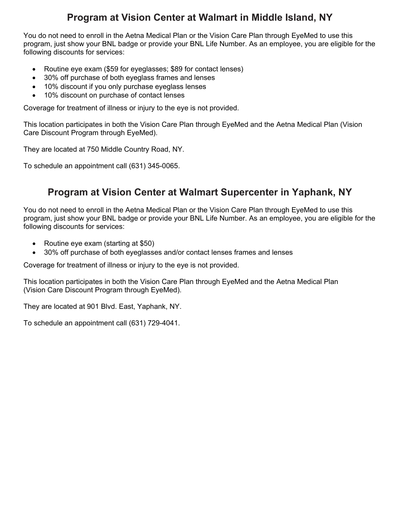### **Program at Vision Center at Walmart in Middle Island, NY**

You do not need to enroll in the Aetna Medical Plan or the Vision Care Plan through EyeMed to use this program, just show your BNL badge or provide your BNL Life Number. As an employee, you are eligible for the following discounts for services:

- Routine eye exam (\$59 for eyeglasses; \$89 for contact lenses)
- 30% off purchase of both eyeglass frames and lenses
- 10% discount if you only purchase eyeglass lenses
- 10% discount on purchase of contact lenses

Coverage for treatment of illness or injury to the eye is not provided.

This location participates in both the Vision Care Plan through EyeMed and the Aetna Medical Plan (Vision Care Discount Program through EyeMed).

They are located at 750 Middle Country Road, NY.

To schedule an appointment call (631) 345-0065.

#### **Program at Vision Center at Walmart Supercenter in Yaphank, NY**

You do not need to enroll in the Aetna Medical Plan or the Vision Care Plan through EyeMed to use this program, just show your BNL badge or provide your BNL Life Number. As an employee, you are eligible for the following discounts for services:

- Routine eye exam (starting at \$50)
- 30% off purchase of both eyeglasses and/or contact lenses frames and lenses

Coverage for treatment of illness or injury to the eye is not provided.

This location participates in both the Vision Care Plan through EyeMed and the Aetna Medical Plan (Vision Care Discount Program through EyeMed).

They are located at 901 Blvd. East, Yaphank, NY.

To schedule an appointment call (631) 729-4041.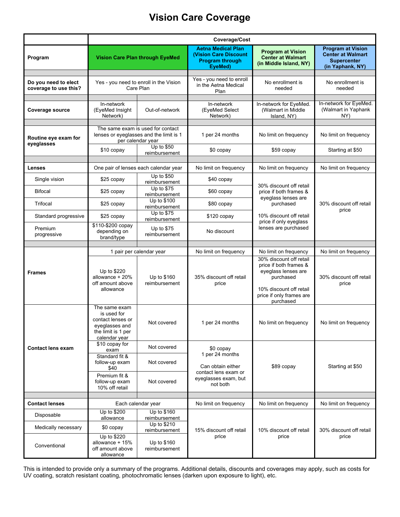## **Vision Care Coverage**

|                                               | Coverage/Cost                                                                                              |                                              |                                                                                                               |                                                                                                                                                                    |                                                                                                |
|-----------------------------------------------|------------------------------------------------------------------------------------------------------------|----------------------------------------------|---------------------------------------------------------------------------------------------------------------|--------------------------------------------------------------------------------------------------------------------------------------------------------------------|------------------------------------------------------------------------------------------------|
| Program                                       | <b>Vision Care Plan through EyeMed</b>                                                                     |                                              | <b>Aetna Medical Plan</b><br><b>(Vision Care Discount)</b><br><b>Program through</b><br>EyeMed)               | <b>Program at Vision</b><br><b>Center at Walmart</b><br>(in Middle Island, NY)                                                                                     | <b>Program at Vision</b><br><b>Center at Walmart</b><br><b>Supercenter</b><br>(in Yaphank, NY) |
| Do you need to elect<br>coverage to use this? | Yes - you need to enroll in the Vision<br>Care Plan                                                        |                                              | Yes - you need to enroll<br>in the Aetna Medical<br>Plan                                                      | No enrollment is<br>needed                                                                                                                                         | No enrollment is<br>needed                                                                     |
| Coverage source                               | In-network<br>(EyeMed Insight<br>Network)                                                                  | Out-of-network                               | In-network<br>(EyeMed Select<br>Network)                                                                      | In-network for EyeMed.<br>(Walmart in Middle<br>Island, NY)                                                                                                        | In-network for EyeMed.<br>(Walmart in Yaphank<br>NY)                                           |
| Routine eye exam for<br>eyeglasses            | The same exam is used for contact<br>lenses or eyeglasses and the limit is 1<br>per calendar year          |                                              | 1 per 24 months                                                                                               | No limit on frequency                                                                                                                                              | No limit on frequency                                                                          |
|                                               | \$10 copay                                                                                                 | Up to \$50<br>reimbursement                  | \$0 copay                                                                                                     | \$59 copay                                                                                                                                                         | Starting at \$50                                                                               |
| <b>Lenses</b>                                 | One pair of lenses each calendar year                                                                      |                                              | No limit on frequency                                                                                         | No limit on frequency                                                                                                                                              | No limit on frequency                                                                          |
| Single vision                                 | \$25 copay                                                                                                 | Up to \$50                                   | \$40 copay                                                                                                    | 30% discount off retail<br>price if both frames &<br>eyeglass lenses are<br>purchased<br>10% discount off retail<br>price if only eyeglass<br>lenses are purchased | 30% discount off retail<br>price                                                               |
| <b>Bifocal</b>                                | \$25 copay                                                                                                 | reimbursement<br>Up to \$75<br>reimbursement | \$60 copay                                                                                                    |                                                                                                                                                                    |                                                                                                |
| Trifocal                                      | \$25 copay                                                                                                 | Up to \$100<br>reimbursement                 | \$80 copay                                                                                                    |                                                                                                                                                                    |                                                                                                |
| Standard progressive                          | \$25 copay                                                                                                 | Up to \$75<br>reimbursement                  | $$120$ copay                                                                                                  |                                                                                                                                                                    |                                                                                                |
| Premium<br>progressive                        | \$110-\$200 copay<br>depending on<br>brand/type                                                            | Up to \$75<br>reimbursement                  | No discount                                                                                                   |                                                                                                                                                                    |                                                                                                |
|                                               | 1 pair per calendar year                                                                                   |                                              | No limit on frequency                                                                                         | No limit on frequency                                                                                                                                              | No limit on frequency                                                                          |
| <b>Frames</b>                                 | Up to \$220<br>allowance + 20%<br>off amount above<br>allowance                                            | Up to \$160<br>reimbursement                 | 35% discount off retail<br>price                                                                              | 30% discount off retail<br>price if both frames &<br>eyeglass lenses are<br>purchased<br>10% discount off retail<br>price if only frames are<br>purchased          | 30% discount off retail<br>price                                                               |
|                                               | The same exam<br>is used for<br>contact lenses or<br>eyeglasses and<br>the limit is 1 per<br>calendar year | Not covered                                  | 1 per 24 months                                                                                               | No limit on frequency                                                                                                                                              | No limit on frequency                                                                          |
| <b>Contact lens exam</b>                      | \$10 copay for<br>exam                                                                                     | Not covered                                  | \$0 copay<br>1 per 24 months<br>Can obtain either<br>contact lens exam or<br>eyeglasses exam, but<br>not both | \$89 copay                                                                                                                                                         | Starting at \$50                                                                               |
|                                               | Standard fit &<br>follow-up exam<br>\$40                                                                   | Not covered                                  |                                                                                                               |                                                                                                                                                                    |                                                                                                |
|                                               | Premium fit &<br>follow-up exam<br>10% off retail                                                          | Not covered                                  |                                                                                                               |                                                                                                                                                                    |                                                                                                |
| <b>Contact lenses</b>                         | Each calendar year                                                                                         |                                              | No limit on frequency                                                                                         | No limit on frequency                                                                                                                                              | No limit on frequency                                                                          |
| Disposable                                    | Up to \$200<br>allowance                                                                                   | Up to \$160<br>reimbursement                 | 15% discount off retail<br>price                                                                              | 10% discount off retail<br>price                                                                                                                                   | 30% discount off retail<br>price                                                               |
| Medically necessary                           | \$0 copay                                                                                                  | Up to \$210<br>reimbursement                 |                                                                                                               |                                                                                                                                                                    |                                                                                                |
| Conventional                                  | Up to \$220<br>allowance + 15%<br>off amount above<br>allowance                                            | Up to \$160<br>reimbursement                 |                                                                                                               |                                                                                                                                                                    |                                                                                                |

This is intended to provide only a summary of the programs. Additional details, discounts and coverages may apply, such as costs for UV coating, scratch resistant coating, photochromatic lenses (darken upon exposure to light), etc.